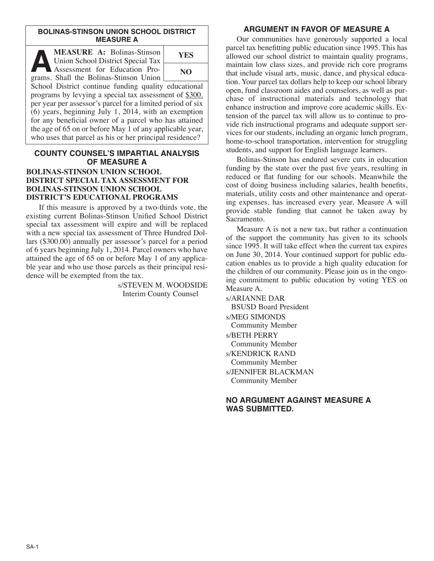#### **BOLINAS-STINSON UNION SCHOOL DISTRICT MEASURE A**

**A MEASURE A:** Bolinas-Stinson<br>
Union School District Special Tax<br>
Assessment for Education Pro-Union School District Special Tax grams. Shall the Bolinas-Stinson Union School District continue funding quality educational programs by levying a special tax assessment of \$300. **YES NO**

per year per assessor's parcel for a limited period of six (6) years, beginning July 1, 2014, with an exemption for any beneficial owner of a parcel who has attained the age of 65 on or before May 1 of any applicable year, who uses that parcel as his or her principal residence?

## **COUNTY COUNSEL'S IMPARTIAL ANALYSIS OF MEASURE A BOLINAS-STINSON UNION SCHOOL**

# **DISTRICT SPECIAL TAX ASSESSMENT FOR BOLINAS-STINSON UNION SCHOOL DISTRICT'S EDUCATIONAL PROGRAMS**

If this measure is approved by a two-thirds vote, the existing current Bolinas-Stinson Unified School District special tax assessment will expire and will be replaced with a new special tax assessment of Three Hundred Dollars (\$300.00) annually per assessor's parcel for a period of 6 years beginning July 1, 2014. Parcel owners who have attained the age of 65 on or before May 1 of any applicable year and who use those parcels as their principal residence will be exempted from the tax.

> s/STEVEN M. WOODSIDE Interim County Counsel

## **ARGUMENT IN FAVOR OF MEASURE A**

Our communities have generously supported a local parcel tax benefitting public education since 1995. This has allowed our school district to maintain quality programs, maintain low class sizes, and provide rich core programs that include visual arts, music, dance, and physical education. Your parcel tax dollars help to keep our school library open, fund classroom aides and counselors, as well as purchase of instructional materials and technology that enhance instruction and improve core academic skills. Extension of the parcel tax will allow us to continue to provide rich instructional programs and adequate support services for our students, including an organic lunch program, home-to-school transportation, intervention for struggling students, and support for English language learners.

Bolinas-Stinson has endured severe cuts in education funding by the state over the past five years, resulting in reduced or flat funding for our schools. Meanwhile the cost of doing business including salaries, health benefits, materials, utility costs and other maintenance and operating expenses, has increased every year. Measure A will provide stable funding that cannot be taken away by Sacramento.

Measure A is not a new tax, but rather a continuation of the support the community has given to its schools since 1995. It will take effect when the current tax expires on June 30, 2014. Your continued support for public education enables us to provide a high quality education for the children of our community. Please join us in the ongoing commitment to public education by voting YES on Measure A.

s/ARIANNE DAR BSUSD Board President s/MEG SIMONDS Community Member s/BETH PERRY Community Member s/KENDRICK RAND Community Member s/JENNIFER BLACKMAN Community Member

### **NO ARGUMENT AGAINST MEASURE A WAS SUBMITTED.**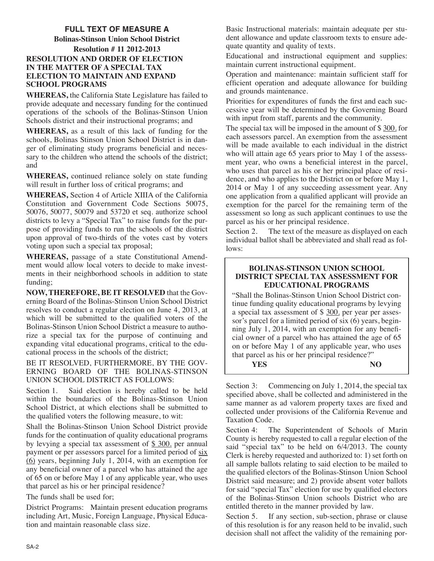# **FULL TEXT OF MEASURE A**

### **Bolinas-Stinson Union School District Resolution # 11 2012-2013 RESOLUTION AND ORDER OF ELECTION IN THE MATTER OF A SPECIAL TAX ELECTION TO MAINTAIN AND EXPAND SCHOOL PROGRAMS**

**WHEREAS,** the California State Legislature has failed to provide adequate and necessary funding for the continued operations of the schools of the Bolinas-Stinson Union Schools district and their instructional programs; and

**WHEREAS,** as a result of this lack of funding for the schools, Bolinas Stinson Union School District is in danger of eliminating study programs beneficial and necessary to the children who attend the schools of the district; and

**WHEREAS,** continued reliance solely on state funding will result in further loss of critical programs; and

**WHEREAS,** Section 4 of Article XIIIA of the California Constitution and Government Code Sections 50075, 50076, 50077, 50079 and 53720 et seq. authorize school districts to levy a "Special Tax" to raise funds for the purpose of providing funds to run the schools of the district upon approval of two-thirds of the votes cast by voters voting upon such a special tax proposal;

**WHEREAS,** passage of a state Constitutional Amendment would allow local voters to decide to make investments in their neighborhood schools in addition to state funding;

**NOW, THEREFORE, BE IT RESOLVED** that the Governing Board of the Bolinas-Stinson Union School District resolves to conduct a regular election on June 4, 2013, at which will be submitted to the qualified voters of the Bolinas-Stinson Union School District a measure to authorize a special tax for the purpose of continuing and expanding vital educational programs, critical to the educational process in the schools of the district;

BE IT RESOLVED, FURTHERMORE, BY THE GOV-ERNING BOARD OF THE BOLINAS-STINSON UNION SCHOOL DISTRICT AS FOLLOWS:

Section 1. Said election is hereby called to be held within the boundaries of the Bolinas-Stinson Union School District, at which elections shall be submitted to the qualified voters the following measure, to wit:

Shall the Bolinas-Stinson Union School District provide funds for the continuation of quality educational programs by levying a special tax assessment of  $$300$  per annual payment or per assessors parcel for a limited period of six (6) years, beginning July 1, 2014, with an exemption for any beneficial owner of a parcel who has attained the age of 65 on or before May 1 of any applicable year, who uses that parcel as his or her principal residence?

The funds shall be used for;

District Programs: Maintain present education programs including Art, Music, Foreign Language, Physical Education and maintain reasonable class size.

Basic Instructional materials: maintain adequate per student allowance and update classroom texts to ensure adequate quantity and quality of texts.

Educational and instructional equipment and supplies: maintain current instructional equipment.

Operation and maintenance: maintain sufficient staff for efficient operation and adequate allowance for building and grounds maintenance.

Priorities for expenditures of funds the first and each successive year will be determined by the Governing Board with input from staff, parents and the community.

The special tax will be imposed in the amount of \$300. for each assessors parcel. An exemption from the assessment will be made available to each individual in the district who will attain age 65 years prior to May 1 of the assessment year, who owns a beneficial interest in the parcel, who uses that parcel as his or her principal place of residence, and who applies to the District on or before May 1, 2014 or May 1 of any succeeding assessment year. Any one application from a qualified applicant will provide an exemption for the parcel for the remaining term of the assessment so long as such applicant continues to use the parcel as his or her principal residence.

Section 2. The text of the measure as displayed on each individual ballot shall be abbreviated and shall read as follows:

### **BOLINAS-STINSON UNION SCHOOL DISTRICT SPECIAL TAX ASSESSMENT FOR EDUCATIONAL PROGRAMS**

"Shall the Bolinas-Stinson Union School District continue funding quality educational programs by levying a special tax assessment of \$ 300. per year per assessor's parcel for a limited period of  $s$ ix  $(6)$  years, beginning July 1, 2014, with an exemption for any beneficial owner of a parcel who has attained the age of 65 on or before May 1 of any applicable year, who uses that parcel as his or her principal residence?"

**YES NO**

Section 3: Commencing on July 1, 2014, the special tax specified above, shall be collected and administered in the same manner as ad valorem property taxes are fixed and collected under provisions of the California Revenue and Taxation Code.

Section 4: The Superintendent of Schools of Marin County is hereby requested to call a regular election of the said "special tax" to be held on 6/4/2013. The county Clerk is hereby requested and authorized to: 1) set forth on all sample ballots relating to said election to be mailed to the qualified electors of the Bolinas-Stinson Union School District said measure; and 2) provide absent voter ballots for said "special Tax" election for use by qualified electors of the Bolinas-Stinson Union schools District who are entitled thereto in the manner provided by law.

Section 5. If any section, sub-section, phrase or clause of this resolution is for any reason held to be invalid, such decision shall not affect the validity of the remaining por